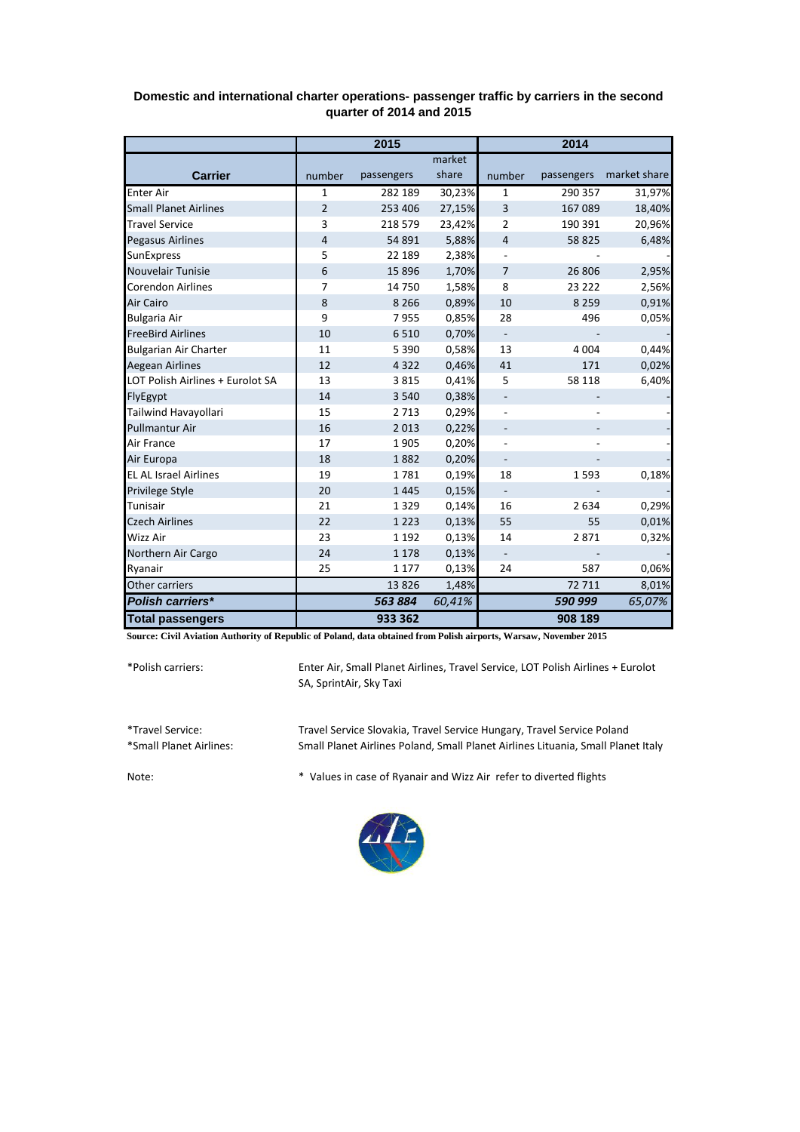|                                  | 2015           |            |        | 2014                     |            |              |
|----------------------------------|----------------|------------|--------|--------------------------|------------|--------------|
|                                  |                |            | market |                          |            |              |
| <b>Carrier</b>                   | number         | passengers | share  | number                   | passengers | market share |
| <b>Enter Air</b>                 | 1              | 282 189    | 30,23% | 1                        | 290 357    | 31,97%       |
| <b>Small Planet Airlines</b>     | $\overline{2}$ | 253 406    | 27,15% | 3                        | 167 089    | 18,40%       |
| <b>Travel Service</b>            | 3              | 218 579    | 23,42% | 2                        | 190 391    | 20,96%       |
| Pegasus Airlines                 | 4              | 54 891     | 5,88%  | $\overline{4}$           | 58 825     | 6,48%        |
| <b>SunExpress</b>                | 5              | 22 189     | 2,38%  |                          |            |              |
| Nouvelair Tunisie                | 6              | 15896      | 1,70%  | $\overline{7}$           | 26 806     | 2,95%        |
| <b>Corendon Airlines</b>         | $\overline{7}$ | 14750      | 1,58%  | 8                        | 23 222     | 2,56%        |
| Air Cairo                        | 8              | 8 2 6 6    | 0,89%  | 10                       | 8 2 5 9    | 0,91%        |
| <b>Bulgaria Air</b>              | 9              | 7955       | 0,85%  | 28                       | 496        | 0,05%        |
| <b>FreeBird Airlines</b>         | 10             | 6510       | 0,70%  | $\blacksquare$           |            |              |
| <b>Bulgarian Air Charter</b>     | 11             | 5 3 9 0    | 0,58%  | 13                       | 4 0 0 4    | 0,44%        |
| <b>Aegean Airlines</b>           | 12             | 4 3 2 2    | 0,46%  | 41                       | 171        | 0,02%        |
| LOT Polish Airlines + Eurolot SA | 13             | 3815       | 0,41%  | 5                        | 58 118     | 6,40%        |
| FlyEgypt                         | 14             | 3 5 4 0    | 0,38%  |                          |            |              |
| Tailwind Havayollari             | 15             | 2713       | 0,29%  | $\overline{\phantom{m}}$ |            |              |
| <b>Pullmantur Air</b>            | 16             | 2013       | 0,22%  |                          |            |              |
| Air France                       | 17             | 1905       | 0,20%  |                          |            |              |
| Air Europa                       | 18             | 1882       | 0,20%  | $\overline{\phantom{0}}$ |            |              |
| <b>EL AL Israel Airlines</b>     | 19             | 1781       | 0,19%  | 18                       | 1593       | 0,18%        |
| Privilege Style                  | 20             | 1445       | 0,15%  | $\overline{\phantom{0}}$ |            |              |
| Tunisair                         | 21             | 1329       | 0,14%  | 16                       | 2 6 3 4    | 0,29%        |
| <b>Czech Airlines</b>            | 22             | 1 2 2 3    | 0,13%  | 55                       | 55         | 0,01%        |
| Wizz Air                         | 23             | 1 1 9 2    | 0,13%  | 14                       | 2871       | 0,32%        |
| Northern Air Cargo               | 24             | 1 1 7 8    | 0,13%  | $\overline{\phantom{0}}$ |            |              |
| Ryanair                          | 25             | 1 1 7 7    | 0,13%  | 24                       | 587        | 0,06%        |
| Other carriers                   |                | 13826      | 1,48%  |                          | 72 711     | 8,01%        |
| Polish carriers*                 |                | 563884     | 60,41% |                          | 590 999    | 65,07%       |
| <b>Total passengers</b>          |                | 933 362    |        |                          | 908 189    |              |

## **Domestic and international charter operations- passenger traffic by carriers in the second quarter of 2014 and 2015**

**Source: Civil Aviation Authority of Republic of Poland, data obtained from Polish airports, Warsaw, November 2015**

\*Polish carriers:

Enter Air, Small Planet Airlines, Travel Service, LOT Polish Airlines + Eurolot SA, SprintAir, Sky Taxi

\*Travel Service: Travel Service Slovakia, Travel Service Hungary, Travel Service Poland Small Planet Airlines Poland, Small Planet Airlines Lituania, Small Planet Italy

Note: \* Values in case of Ryanair and Wizz Air refer to diverted flights